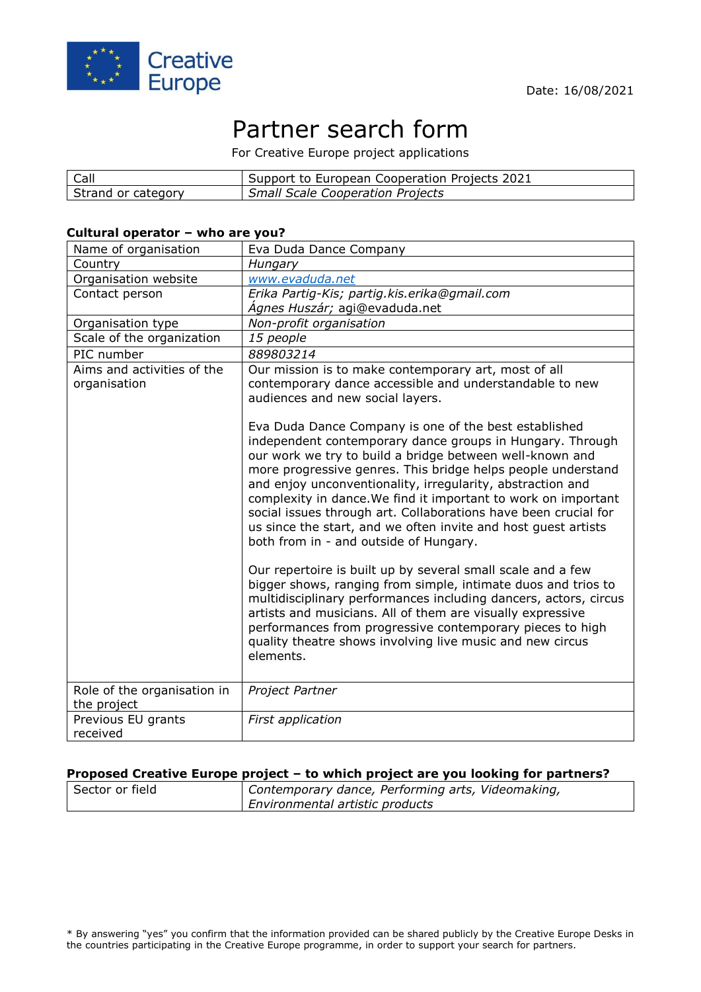

# Partner search form

For Creative Europe project applications

| Call               | Support to European Cooperation Projects 2021 |
|--------------------|-----------------------------------------------|
| Strand or category | <b>Small Scale Cooperation Projects</b>       |

#### **Cultural operator – who are you?**

| Name of organisation                       | Eva Duda Dance Company                                                                                                                                                                                                                                                                                                                                                                                                                                                                                                                                        |
|--------------------------------------------|---------------------------------------------------------------------------------------------------------------------------------------------------------------------------------------------------------------------------------------------------------------------------------------------------------------------------------------------------------------------------------------------------------------------------------------------------------------------------------------------------------------------------------------------------------------|
| Country                                    | Hungary                                                                                                                                                                                                                                                                                                                                                                                                                                                                                                                                                       |
| Organisation website                       | www.evaduda.net                                                                                                                                                                                                                                                                                                                                                                                                                                                                                                                                               |
| Contact person                             | Erika Partig-Kis; partig.kis.erika@gmail.com                                                                                                                                                                                                                                                                                                                                                                                                                                                                                                                  |
|                                            | Ágnes Huszár; agi@evaduda.net                                                                                                                                                                                                                                                                                                                                                                                                                                                                                                                                 |
| Organisation type                          | Non-profit organisation                                                                                                                                                                                                                                                                                                                                                                                                                                                                                                                                       |
| Scale of the organization                  | 15 people                                                                                                                                                                                                                                                                                                                                                                                                                                                                                                                                                     |
| PIC number                                 | 889803214                                                                                                                                                                                                                                                                                                                                                                                                                                                                                                                                                     |
| Aims and activities of the<br>organisation | Our mission is to make contemporary art, most of all<br>contemporary dance accessible and understandable to new<br>audiences and new social layers.                                                                                                                                                                                                                                                                                                                                                                                                           |
|                                            | Eva Duda Dance Company is one of the best established<br>independent contemporary dance groups in Hungary. Through<br>our work we try to build a bridge between well-known and<br>more progressive genres. This bridge helps people understand<br>and enjoy unconventionality, irregularity, abstraction and<br>complexity in dance. We find it important to work on important<br>social issues through art. Collaborations have been crucial for<br>us since the start, and we often invite and host guest artists<br>both from in - and outside of Hungary. |
|                                            | Our repertoire is built up by several small scale and a few<br>bigger shows, ranging from simple, intimate duos and trios to<br>multidisciplinary performances including dancers, actors, circus<br>artists and musicians. All of them are visually expressive<br>performances from progressive contemporary pieces to high<br>quality theatre shows involving live music and new circus<br>elements.                                                                                                                                                         |
| Role of the organisation in                | Project Partner                                                                                                                                                                                                                                                                                                                                                                                                                                                                                                                                               |
| the project                                |                                                                                                                                                                                                                                                                                                                                                                                                                                                                                                                                                               |
| Previous EU grants                         | First application                                                                                                                                                                                                                                                                                                                                                                                                                                                                                                                                             |
| received                                   |                                                                                                                                                                                                                                                                                                                                                                                                                                                                                                                                                               |

## **Proposed Creative Europe project – to which project are you looking for partners?**

| Sector or field | Contemporary dance, Performing arts, Videomaking, |
|-----------------|---------------------------------------------------|
|                 | <b>Environmental artistic products</b>            |